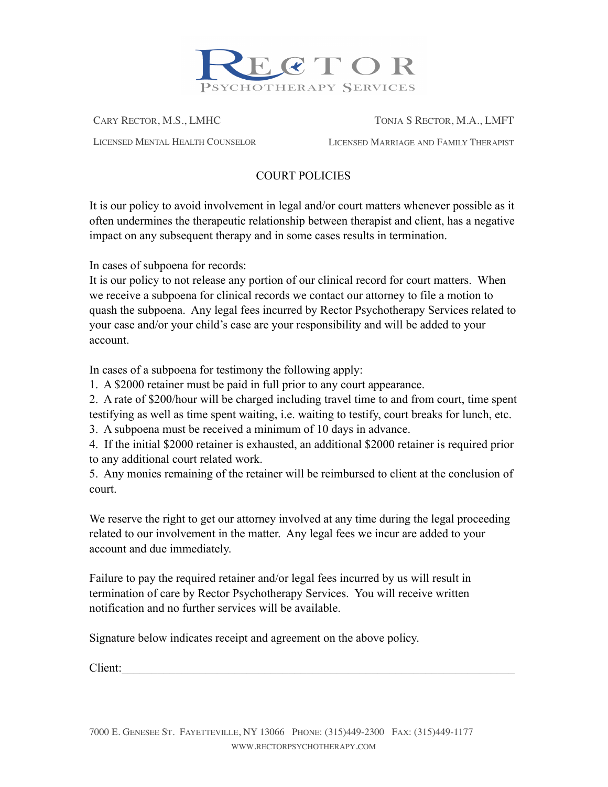

CARY RECTOR, M.S., LMHC TONJA S RECTOR, M.A., LMFT

LICENSED MENTAL HEALTH COUNSELOR LICENSED MARRIAGE AND FAMILY THERAPIST

## COURT POLICIES

It is our policy to avoid involvement in legal and/or court matters whenever possible as it often undermines the therapeutic relationship between therapist and client, has a negative impact on any subsequent therapy and in some cases results in termination.

In cases of subpoena for records:

It is our policy to not release any portion of our clinical record for court matters. When we receive a subpoena for clinical records we contact our attorney to file a motion to quash the subpoena. Any legal fees incurred by Rector Psychotherapy Services related to your case and/or your child's case are your responsibility and will be added to your account.

In cases of a subpoena for testimony the following apply:

1. A \$2000 retainer must be paid in full prior to any court appearance.

2. A rate of \$200/hour will be charged including travel time to and from court, time spent testifying as well as time spent waiting, i.e. waiting to testify, court breaks for lunch, etc.

3. A subpoena must be received a minimum of 10 days in advance.

4. If the initial \$2000 retainer is exhausted, an additional \$2000 retainer is required prior to any additional court related work.

5. Any monies remaining of the retainer will be reimbursed to client at the conclusion of court.

We reserve the right to get our attorney involved at any time during the legal proceeding related to our involvement in the matter. Any legal fees we incur are added to your account and due immediately.

Failure to pay the required retainer and/or legal fees incurred by us will result in termination of care by Rector Psychotherapy Services. You will receive written notification and no further services will be available.

Signature below indicates receipt and agreement on the above policy.

Client: